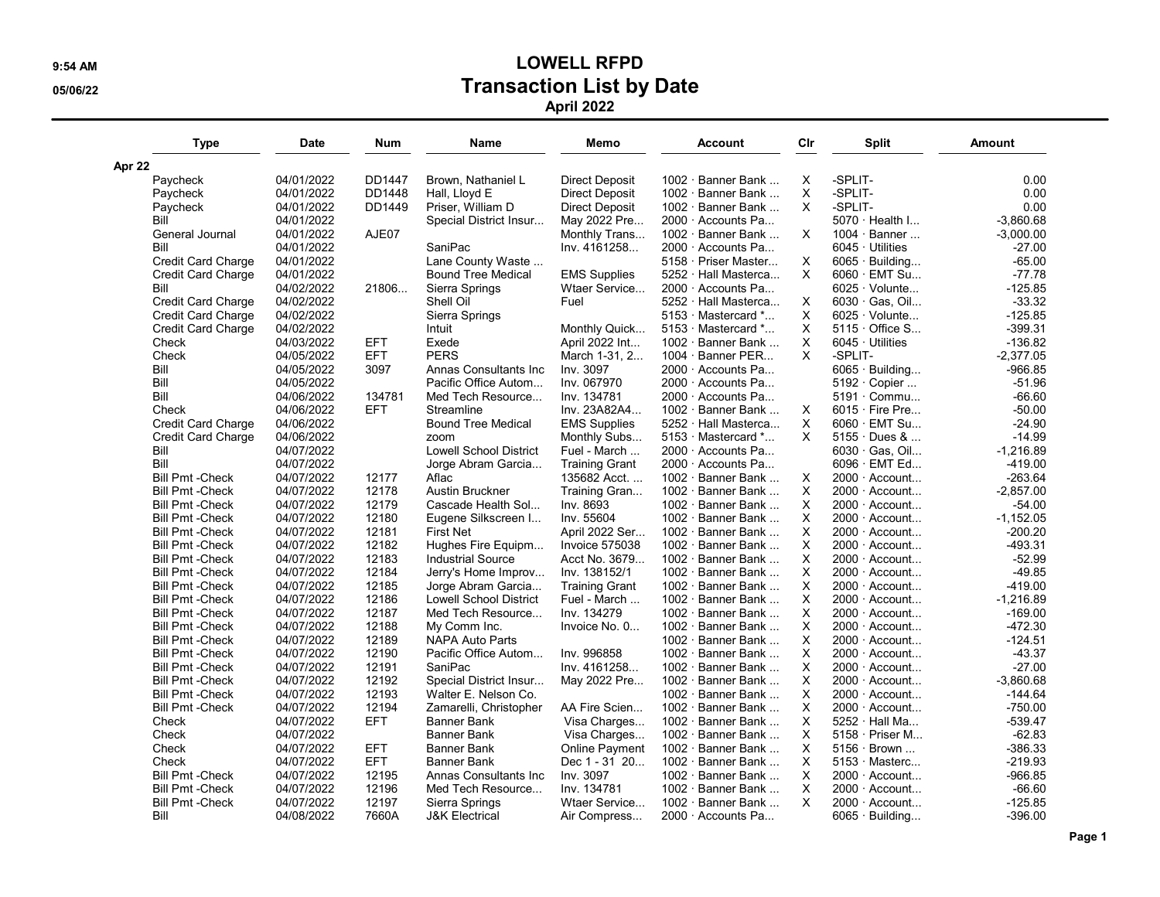## 9:54 AM LOWELL RFPD 05/06/22 **Transaction List by Date** April 2022

| Type                                                   | Date       | Num        | Name                          | Memo                                | Account                     | Cir      | Split                     | Amount      |
|--------------------------------------------------------|------------|------------|-------------------------------|-------------------------------------|-----------------------------|----------|---------------------------|-------------|
| Apr 22                                                 |            |            |                               |                                     |                             |          |                           |             |
| Paycheck                                               | 04/01/2022 | DD1447     | Brown, Nathaniel L            | <b>Direct Deposit</b>               | 1002 · Banner Bank          | Х        | -SPLIT-                   | 0.00        |
| Paycheck                                               | 04/01/2022 | DD1448     | Hall, Lloyd E                 | Direct Deposit                      | $1002 \cdot$ Banner Bank    | X        | -SPLIT-                   | 0.00        |
| Paycheck                                               | 04/01/2022 | DD1449     | Priser, William D             | Direct Deposit                      | 1002 · Banner Bank          | X        | -SPLIT-                   | 0.00        |
| Bill                                                   | 04/01/2022 |            | Special District Insur        | May 2022 Pre                        | 2000 · Accounts Pa          |          | $5070 \cdot$ Health I     | $-3.860.68$ |
| General Journal                                        | 04/01/2022 | AJE07      |                               | Monthly Trans                       | 1002 · Banner Bank          | X        | $1004 \cdot$ Banner       | $-3,000.00$ |
| Bill                                                   | 04/01/2022 |            | SaniPac                       | Inv. 4161258                        | 2000 · Accounts Pa          |          | $6045 \cdot$ Utilities    | $-27.00$    |
| Credit Card Charge                                     | 04/01/2022 |            | Lane County Waste             |                                     | 5158 · Priser Master        | Χ        | $6065 \cdot$ Building     | $-65.00$    |
| <b>Credit Card Charge</b>                              | 04/01/2022 |            | <b>Bound Tree Medical</b>     | <b>EMS Supplies</b>                 | 5252 · Hall Masterca        | X        | $6060 \cdot$ EMT Su       | $-77.78$    |
| Bill                                                   | 04/02/2022 | 21806      | Sierra Springs                | Wtaer Service                       | 2000 Accounts Pa            |          | $6025 \cdot$ Volunte      | $-125.85$   |
| <b>Credit Card Charge</b>                              | 04/02/2022 |            | Shell Oil                     | Fuel                                | 5252 · Hall Masterca        | X        | $6030 \cdot$ Gas. Oil     | $-33.32$    |
| <b>Credit Card Charge</b>                              | 04/02/2022 |            | Sierra Springs                |                                     | $5153 \cdot$ Mastercard $*$ | X        | $6025 \cdot$ Volunte      | $-125.85$   |
| <b>Credit Card Charge</b>                              | 04/02/2022 |            | Intuit                        | Monthly Quick                       | $5153 \cdot$ Mastercard $*$ | Χ        | $5115 \cdot$ Office S     | $-399.31$   |
| Check                                                  | 04/03/2022 | <b>EFT</b> | Exede                         | April 2022 Int                      | 1002 · Banner Bank          | X        | $6045 \cdot$ Utilities    | $-136.82$   |
| Check                                                  | 04/05/2022 | <b>EFT</b> | <b>PERS</b>                   | March 1-31, 2                       | $1004 \cdot$ Banner PER     | X        | -SPLIT-                   | $-2,377.05$ |
| Bill                                                   | 04/05/2022 | 3097       | Annas Consultants Inc         | Inv. 3097                           | 2000 · Accounts Pa          |          | $6065 \cdot$ Building     | -966.85     |
| Bill                                                   | 04/05/2022 |            | Pacific Office Autom          | Inv. 067970                         | 2000 · Accounts Pa          |          | $5192 \cdot$ Copier       | $-51.96$    |
| Bill                                                   | 04/06/2022 | 134781     | Med Tech Resource             | Inv. 134781                         | 2000 · Accounts Pa          |          | $5191 \cdot \text{Commu}$ | $-66.60$    |
| Check                                                  | 04/06/2022 | <b>EFT</b> | Streamline                    | Inv. 23A82A4                        | 1002 · Banner Bank          | Χ        | $6015 \cdot$ Fire Pre     | $-50.00$    |
|                                                        | 04/06/2022 |            | <b>Bound Tree Medical</b>     |                                     | 5252 · Hall Masterca        | X        | $6060 \cdot$ EMT Su       | $-24.90$    |
| <b>Credit Card Charge</b><br><b>Credit Card Charge</b> | 04/06/2022 |            | zoom                          | <b>EMS Supplies</b><br>Monthly Subs | $5153 \cdot$ Mastercard $*$ | X        | $5155 \cdot$ Dues &       | $-14.99$    |
| Bill                                                   |            |            |                               |                                     | 2000 · Accounts Pa          |          | 6030 · Gas, Oil           |             |
| Bill                                                   | 04/07/2022 |            | <b>Lowell School District</b> | Fuel - March                        |                             |          |                           | $-1,216.89$ |
|                                                        | 04/07/2022 |            | Jorge Abram Garcia            | <b>Training Grant</b>               | 2000 · Accounts Pa          |          | 6096 · EMT Ed             | $-419.00$   |
| <b>Bill Pmt - Check</b>                                | 04/07/2022 | 12177      | Aflac                         | 135682 Acct                         | $1002 \cdot$ Banner Bank    | Χ        | 2000 · Account            | $-263.64$   |
| <b>Bill Pmt - Check</b>                                | 04/07/2022 | 12178      | <b>Austin Bruckner</b>        | Training Gran                       | 1002 · Banner Bank          | X        | $2000 \cdot$ Account      | $-2,857.00$ |
| <b>Bill Pmt - Check</b>                                | 04/07/2022 | 12179      | Cascade Health Sol            | Inv. 8693                           | 1002 · Banner Bank          | X        | $2000 \cdot$ Account      | $-54.00$    |
| <b>Bill Pmt - Check</b>                                | 04/07/2022 | 12180      | Eugene Silkscreen I           | Inv. 55604                          | 1002 · Banner Bank          | X        | $2000 \cdot$ Account      | $-1,152.05$ |
| <b>Bill Pmt - Check</b>                                | 04/07/2022 | 12181      | <b>First Net</b>              | April 2022 Ser                      | 1002 · Banner Bank          | Χ        | $2000 \cdot$ Account      | $-200.20$   |
| <b>Bill Pmt - Check</b>                                | 04/07/2022 | 12182      | Hughes Fire Equipm            | Invoice 575038                      | 1002 · Banner Bank          | X        | 2000 · Account            | $-493.31$   |
| <b>Bill Pmt - Check</b>                                | 04/07/2022 | 12183      | <b>Industrial Source</b>      | Acct No. 3679                       | $1002 \cdot$ Banner Bank    | X        | 2000 · Account            | $-52.99$    |
| <b>Bill Pmt - Check</b>                                | 04/07/2022 | 12184      | Jerry's Home Improv           | Inv. 138152/1                       | 1002 · Banner Bank          | X        | $2000 \cdot$ Account      | $-49.85$    |
| <b>Bill Pmt - Check</b>                                | 04/07/2022 | 12185      | Jorge Abram Garcia            | <b>Training Grant</b>               | 1002 · Banner Bank          | Χ        | $2000 \cdot$ Account      | $-419.00$   |
| <b>Bill Pmt - Check</b>                                | 04/07/2022 | 12186      | <b>Lowell School District</b> | Fuel - March                        | 1002 · Banner Bank          | X        | 2000 · Account            | $-1,216.89$ |
| <b>Bill Pmt - Check</b>                                | 04/07/2022 | 12187      | Med Tech Resource             | Inv. 134279                         | $1002 \cdot$ Banner Bank    | X        | 2000 Account              | $-169.00$   |
| <b>Bill Pmt - Check</b>                                | 04/07/2022 | 12188      | My Comm Inc.                  | Invoice No. 0                       | $1002 \cdot$ Banner Bank    | X        | 2000 · Account            | $-472.30$   |
| <b>Bill Pmt - Check</b>                                | 04/07/2022 | 12189      | <b>NAPA Auto Parts</b>        |                                     | 1002 · Banner Bank          | X        | $2000 \cdot$ Account      | $-124.51$   |
| <b>Bill Pmt - Check</b>                                | 04/07/2022 | 12190      | Pacific Office Autom          | Inv. 996858                         | 1002 · Banner Bank          | X        | 2000 · Account            | $-43.37$    |
| <b>Bill Pmt - Check</b>                                | 04/07/2022 | 12191      | SaniPac                       | Inv. 4161258                        | 1002 · Banner Bank          | X        | 2000 · Account            | $-27.00$    |
| <b>Bill Pmt - Check</b>                                | 04/07/2022 | 12192      | Special District Insur        | May 2022 Pre                        | $1002 \cdot$ Banner Bank    | X        | 2000 · Account            | $-3.860.68$ |
| <b>Bill Pmt - Check</b>                                | 04/07/2022 | 12193      | Walter E. Nelson Co.          |                                     | 1002 · Banner Bank          | X        | $2000 \cdot$ Account      | $-144.64$   |
| <b>Bill Pmt - Check</b>                                | 04/07/2022 | 12194      | Zamarelli, Christopher        | AA Fire Scien                       | 1002 · Banner Bank          | X        | $2000 \cdot$ Account      | $-750.00$   |
| Check                                                  | 04/07/2022 | <b>EFT</b> | <b>Banner Bank</b>            | Visa Charges                        | 1002 · Banner Bank          | Χ        | 5252 · Hall Ma            | $-539.47$   |
| Check                                                  | 04/07/2022 |            | <b>Banner Bank</b>            | Visa Charges                        | $1002 \cdot$ Banner Bank    | X        | $5158 \cdot$ Priser M     | $-62.83$    |
| Check                                                  | 04/07/2022 | EFT        | <b>Banner Bank</b>            | Online Payment                      | $1002 \cdot$ Banner Bank    | X        | $5156 \cdot$ Brown        | -386.33     |
| Check                                                  | 04/07/2022 | <b>EFT</b> | <b>Banner Bank</b>            | Dec 1 - 31 20                       | 1002 · Banner Bank          | X        | $5153 \cdot$ Masterc      | $-219.93$   |
| <b>Bill Pmt - Check</b>                                | 04/07/2022 | 12195      | Annas Consultants Inc         | Inv. 3097                           | 1002 · Banner Bank          | Χ        | 2000 · Account            | $-966.85$   |
| <b>Bill Pmt - Check</b>                                | 04/07/2022 | 12196      | Med Tech Resource             | Inv. 134781                         | 1002 · Banner Bank          | X        | $2000 \cdot$ Account      | $-66.60$    |
| <b>Bill Pmt - Check</b>                                | 04/07/2022 | 12197      | Sierra Springs                | Wtaer Service                       | $1002 \cdot$ Banner Bank    | $\times$ | 2000 · Account            | $-125.85$   |
| Bill                                                   | 04/08/2022 | 7660A      | <b>J&amp;K Electrical</b>     | Air Compress                        | 2000 · Accounts Pa          |          | $6065 \cdot$ Building     | $-396.00$   |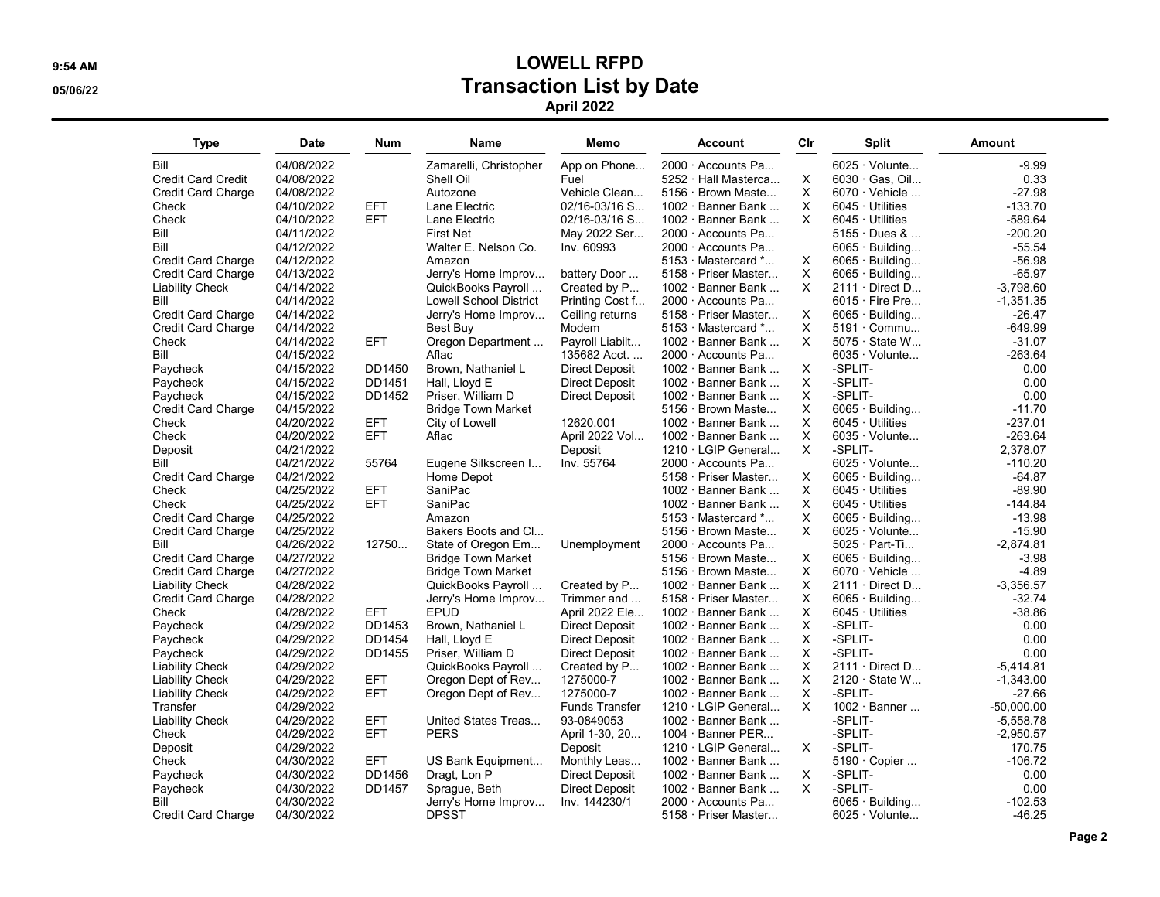## 9:54 AM LOWELL RFPD 05/06/22 **Transaction List by Date** April 2022

| <b>Type</b>               | Date       | Num        | Name                          | Memo                  | Account                     | Cir | Split                     | Amount       |
|---------------------------|------------|------------|-------------------------------|-----------------------|-----------------------------|-----|---------------------------|--------------|
| Bill                      | 04/08/2022 |            | Zamarelli, Christopher        | App on Phone          | $2000 \cdot$ Accounts Pa    |     | $6025 \cdot$ Volunte      | $-9.99$      |
| <b>Credit Card Credit</b> | 04/08/2022 |            | Shell Oil                     | Fuel                  | 5252 · Hall Masterca        | X   | 6030 Gas, Oil             | 0.33         |
| <b>Credit Card Charge</b> | 04/08/2022 |            | Autozone                      | Vehicle Clean         | 5156 · Brown Maste          | х   | $6070 \cdot$ Vehicle      | -27.98       |
| Check                     | 04/10/2022 | <b>EFT</b> | Lane Electric                 | $02/16 - 03/16$ S     | 1002 · Banner Bank          | X   | $6045 \cdot$ Utilities    | $-133.70$    |
| Check                     | 04/10/2022 | <b>EFT</b> | Lane Electric                 | $02/16 - 03/16$ S     | 1002 $\cdot$ Banner Bank    | X   | $6045 \cdot$ Utilities    | $-589.64$    |
| Bill                      | 04/11/2022 |            | <b>First Net</b>              | May 2022 Ser          | 2000 Accounts Pa            |     | $5155 \cdot$ Dues &       | -200.20      |
| Bill                      | 04/12/2022 |            | Walter E. Nelson Co.          | Inv. 60993            | 2000 Accounts Pa            |     | $6065 \cdot$ Building     | $-55.54$     |
| <b>Credit Card Charge</b> | 04/12/2022 |            | Amazon                        |                       | $5153 \cdot$ Mastercard $*$ | X   | $6065 \cdot$ Building     | $-56.98$     |
| <b>Credit Card Charge</b> | 04/13/2022 |            | Jerry's Home Improv           | battery Door          | 5158 · Priser Master        | X   | $6065 \cdot$ Building     | -65.97       |
| <b>Liability Check</b>    | 04/14/2022 |            | QuickBooks Payroll            | Created by P          | 1002 · Banner Bank          | X   | $2111 \cdot$ Direct D     | $-3,798.60$  |
| Bill                      | 04/14/2022 |            | <b>Lowell School District</b> | Printing Cost f       | 2000 Accounts Pa            |     | $6015 \cdot$ Fire Pre     | $-1,351.35$  |
| <b>Credit Card Charge</b> | 04/14/2022 |            | Jerry's Home Improv           | Ceiling returns       | 5158 · Priser Master        | X   | $6065 \cdot$ Building     | $-26.47$     |
| <b>Credit Card Charge</b> | 04/14/2022 |            | Best Buy                      | Modem                 | 5153 Mastercard *           | X   | $5191 \cdot \text{Commu}$ | -649.99      |
| Check                     | 04/14/2022 | <b>EFT</b> | Oregon Department             | Payroll Liabilt       | 1002 · Banner Bank          | X   | $5075 \cdot$ State W      | $-31.07$     |
| Bill                      | 04/15/2022 |            | Aflac                         | 135682 Acct.          | 2000 Accounts Pa            |     | $6035 \cdot$ Volunte      | -263.64      |
| Paycheck                  | 04/15/2022 | DD1450     | Brown, Nathaniel L            | Direct Deposit        | 1002 · Banner Bank          | Χ   | -SPLIT-                   | 0.00         |
| Paycheck                  | 04/15/2022 | DD1451     | Hall, Lloyd E                 | <b>Direct Deposit</b> | 1002 $\cdot$ Banner Bank    | X   | -SPLIT-                   | 0.00         |
| Paycheck                  | 04/15/2022 | DD1452     | Priser, William D             | <b>Direct Deposit</b> | 1002 · Banner Bank          | X   | -SPLIT-                   | 0.00         |
| <b>Credit Card Charge</b> | 04/15/2022 |            | <b>Bridge Town Market</b>     |                       | 5156 · Brown Maste          | X   | $6065 \cdot$ Building     | $-11.70$     |
| Check                     | 04/20/2022 | <b>EFT</b> | City of Lowell                | 12620.001             | $1002 \cdot$ Banner Bank    | X   | $6045 \cdot$ Utilities    | -237.01      |
| Check                     | 04/20/2022 | <b>EFT</b> | Aflac                         | April 2022 Vol        | 1002 $\cdot$ Banner Bank    | X   | $6035 \cdot$ Volunte      | -263.64      |
| Deposit                   | 04/21/2022 |            |                               | Deposit               | 1210 · LGIP General         | X   | -SPLIT-                   | 2,378.07     |
| Bill                      | 04/21/2022 | 55764      | Eugene Silkscreen I           | Inv. 55764            | 2000 · Accounts Pa          |     | $6025 \cdot$ Volunte      | $-110.20$    |
| <b>Credit Card Charge</b> | 04/21/2022 |            | Home Depot                    |                       | 5158 · Priser Master        | X   | 6065 · Building           | $-64.87$     |
| Check                     | 04/25/2022 | EFT        | SaniPac                       |                       | $1002 \cdot$ Banner Bank    | X   | $6045 \cdot$ Utilities    | -89.90       |
| Check                     | 04/25/2022 | <b>EFT</b> | SaniPac                       |                       | $1002 \cdot$ Banner Bank    | X   | $6045 \cdot$ Utilities    | $-144.84$    |
| <b>Credit Card Charge</b> | 04/25/2022 |            | Amazon                        |                       | $5153 \cdot$ Mastercard $*$ | X   | $6065 \cdot$ Building     | $-13.98$     |
| <b>Credit Card Charge</b> | 04/25/2022 |            | Bakers Boots and Cl           |                       | 5156 · Brown Maste          | X   | $6025 \cdot$ Volunte      | $-15.90$     |
| Bill                      | 04/26/2022 | 12750      | State of Oregon Em            | Unemployment          | 2000 Accounts Pa            |     | $5025 \cdot Part-Ti$      | -2,874.81    |
| <b>Credit Card Charge</b> | 04/27/2022 |            | <b>Bridge Town Market</b>     |                       | 5156 · Brown Maste          | X   | $6065 \cdot$ Building     | $-3.98$      |
| <b>Credit Card Charge</b> | 04/27/2022 |            | <b>Bridge Town Market</b>     |                       | 5156 · Brown Maste          | Χ   | $6070 \cdot$ Vehicle      | $-4.89$      |
| <b>Liability Check</b>    | 04/28/2022 |            | QuickBooks Payroll            | Created by P          | $1002 \cdot$ Banner Bank    | X   | $2111 \cdot$ Direct D     | $-3,356.57$  |
| <b>Credit Card Charge</b> | 04/28/2022 |            | Jerry's Home Improv           | Trimmer and           | 5158 · Priser Master        | X   | $6065 \cdot$ Building     | $-32.74$     |
| Check                     | 04/28/2022 | <b>EFT</b> | <b>EPUD</b>                   | April 2022 Ele        | 1002 · Banner Bank          | Χ   | $6045 \cdot$ Utilities    | -38.86       |
| Paycheck                  | 04/29/2022 | DD1453     | Brown, Nathaniel L            | <b>Direct Deposit</b> | 1002 · Banner Bank          | X   | -SPLIT-                   | 0.00         |
| Paycheck                  | 04/29/2022 | DD1454     | Hall, Lloyd E                 | <b>Direct Deposit</b> | 1002 $\cdot$ Banner Bank    | X   | -SPLIT-                   | 0.00         |
| Paycheck                  | 04/29/2022 | DD1455     | Priser, William D             | Direct Deposit        | 1002 · Banner Bank          | X   | -SPLIT-                   | 0.00         |
| <b>Liability Check</b>    | 04/29/2022 |            | QuickBooks Payroll            | Created by P          | 1002 · Banner Bank          | х   | $2111 \cdot$ Direct D     | -5,414.81    |
| <b>Liability Check</b>    | 04/29/2022 | <b>EFT</b> | Oregon Dept of Rev            | 1275000-7             | 1002 · Banner Bank          | X   | 2120 · State W            | $-1,343.00$  |
| <b>Liability Check</b>    | 04/29/2022 | <b>EFT</b> | Oregon Dept of Rev            | 1275000-7             | 1002 · Banner Bank          | X   | -SPLIT-                   | -27.66       |
| Transfer                  | 04/29/2022 |            |                               | <b>Funds Transfer</b> | 1210 · LGIP General         | X   | $1002 \cdot$ Banner       | $-50,000.00$ |
| <b>Liability Check</b>    | 04/29/2022 | <b>EFT</b> | United States Treas           | 93-0849053            | $1002 \cdot$ Banner Bank    |     | -SPLIT-                   | $-5,558.78$  |
| Check                     | 04/29/2022 | <b>EFT</b> | <b>PERS</b>                   | April 1-30, 20        | 1004 · Banner PER           |     | -SPLIT-                   | $-2.950.57$  |
| Deposit                   | 04/29/2022 |            |                               | Deposit               | 1210 · LGIP General         | X   | -SPLIT-                   | 170.75       |
| Check                     | 04/30/2022 | <b>EFT</b> | US Bank Equipment             | Monthly Leas          | 1002 $\cdot$ Banner Bank    |     | 5190 · Copier             | $-106.72$    |
| Paycheck                  | 04/30/2022 | DD1456     | Dragt, Lon P                  | <b>Direct Deposit</b> | 1002 · Banner Bank          | X   | -SPLIT-                   | 0.00         |
| Paycheck                  | 04/30/2022 | DD1457     | Sprague, Beth                 | <b>Direct Deposit</b> | 1002 · Banner Bank          | X   | -SPLIT-                   | 0.00         |
| Bill                      | 04/30/2022 |            | Jerry's Home Improv           | Inv. 144230/1         | 2000 · Accounts Pa          |     | $6065 \cdot$ Building     | $-102.53$    |
| <b>Credit Card Charge</b> | 04/30/2022 |            | <b>DPSST</b>                  |                       | 5158 · Priser Master        |     | $6025 \cdot$ Volunte      | $-46.25$     |